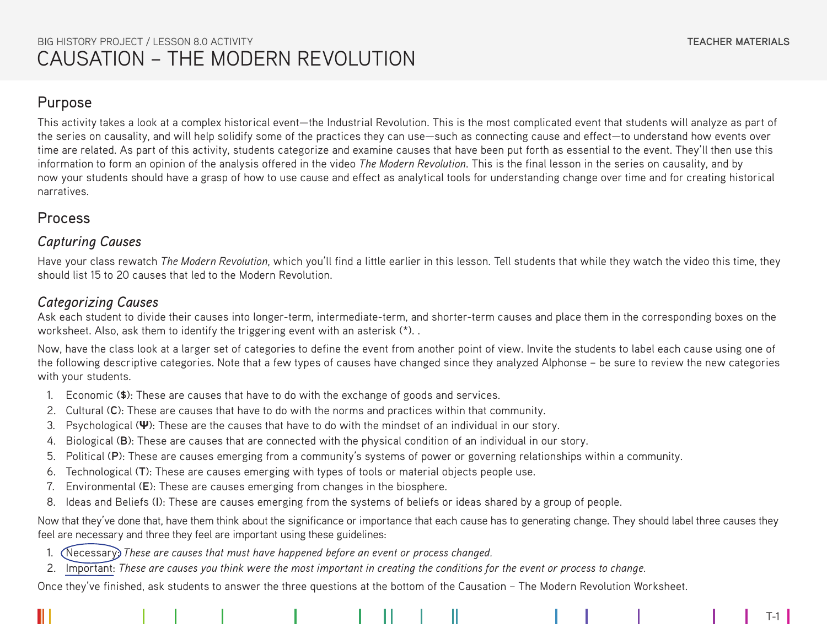$T-1$ 

### Purpose

This activity takes a look at a complex historical event—the Industrial Revolution. This is the most complicated event that students will analyze as part of the series on causality, and will help solidify some of the practices they can use—such as connecting cause and effect—to understand how events over time are related. As part of this activity, students categorize and examine causes that have been put forth as essential to the event. They'll then use this information to form an opinion of the analysis offered in the video *The Modern Revolution*. This is the final lesson in the series on causality, and by now your students should have a grasp of how to use cause and effect as analytical tools for understanding change over time and for creating historical narratives.

## Process

#### *Capturing Causes*

Have your class rewatch *The Modern Revolution*, which you'll find a little earlier in this lesson. Tell students that while they watch the video this time, they should list 15 to 20 causes that led to the Modern Revolution.

#### *Categorizing Causes*

Ask each student to divide their causes into longer-term, intermediate-term, and shorter-term causes and place them in the corresponding boxes on the worksheet. Also, ask them to identify the triggering event with an asterisk (\*). .

Now, have the class look at a larger set of categories to define the event from another point of view. Invite the students to label each cause using one of the following descriptive categories. Note that a few types of causes have changed since they analyzed Alphonse – be sure to review the new categories with your students.

- 1. Economic (**\$**): These are causes that have to do with the exchange of goods and services.
- 2. Cultural (**C**): These are causes that have to do with the norms and practices within that community.
- 3. Psychological (**Ψ**): These are the causes that have to do with the mindset of an individual in our story.
- 4. Biological (**B**): These are causes that are connected with the physical condition of an individual in our story.
- 5. Political (**P**): These are causes emerging from a community's systems of power or governing relationships within a community.
- 6. Technological (**T**): These are causes emerging with types of tools or material objects people use.
- 7. Environmental (**E**): These are causes emerging from changes in the biosphere.
- 8. Ideas and Beliefs (**I**): These are causes emerging from the systems of beliefs or ideas shared by a group of people.

Now that they've done that, have them think about the significance or importance that each cause has to generating change. They should label three causes they feel are necessary and three they feel are important using these guidelines:

- 1. Necessary: *These are causes that must have happened before an event or process changed.*
- 2. Important: *These are causes you think were the most important in creating the conditions for the event or process to change.*

Once they've finished, ask students to answer the three questions at the bottom of the Causation – The Modern Revolution Worksheet.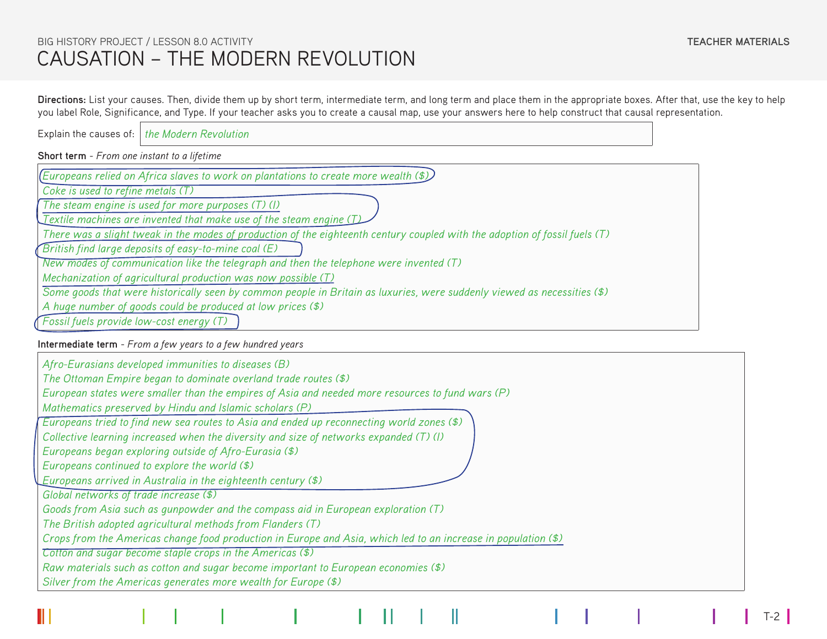T-2

**Directions:** List your causes. Then, divide them up by short term, intermediate term, and long term and place them in the appropriate boxes. After that, use the key to help you label Role, Significance, and Type. If your teacher asks you to create a causal map, use your answers here to help construct that causal representation.

Explain the causes of: *the Modern Revolution*

**Short term** - *From one instant to a lifetime*

*Europeans relied on Africa slaves to work on plantations to create more wealth (\$)*

*Coke is used to refine metals (T)*

*The steam engine is used for more purposes (T) (I)*

*Textile machines are invented that make use of the steam engine (T)*

*There was a slight tweak in the modes of production of the eighteenth century coupled with the adoption of fossil fuels (T)*

*British find large deposits of easy-to-mine coal (E)*

*New modes of communication like the telegraph and then the telephone were invented (T)*

*Mechanization of agricultural production was now possible (T)*

*Some goods that were historically seen by common people in Britain as luxuries, were suddenly viewed as necessities (\$)*

*A huge number of goods could be produced at low prices (\$)*

*Fossil fuels provide low-cost energy (T)*

**Intermediate term** - *From a few years to a few hundred years*

| Afro-Eurasians developed immunities to diseases (B)                                                            |
|----------------------------------------------------------------------------------------------------------------|
| The Ottoman Empire began to dominate overland trade routes (\$)                                                |
| European states were smaller than the empires of Asia and needed more resources to fund wars (P)               |
| Mathematics preserved by Hindu and Islamic scholars (P)                                                        |
| Europeans tried to find new sea routes to Asia and ended up reconnecting world zones (\$)                      |
| Collective learning increased when the diversity and size of networks expanded (T) (I)                         |
| Europeans began exploring outside of Afro-Eurasia (\$)                                                         |
| Europeans continued to explore the world (\$)                                                                  |
| Europeans arrived in Australia in the eighteenth century (\$)                                                  |
| Global networks of trade increase (\$)                                                                         |
| Goods from Asia such as gunpowder and the compass aid in European exploration (T)                              |
| The British adopted agricultural methods from Flanders (T)                                                     |
| Crops from the Americas change food production in Europe and Asia, which led to an increase in population (\$) |
| Cotton and sugar become staple crops in the Americas (\$)                                                      |
| Raw materials such as cotton and sugar become important to European economies (\$)                             |
| Silver from the Americas generates more wealth for Europe (\$)                                                 |
|                                                                                                                |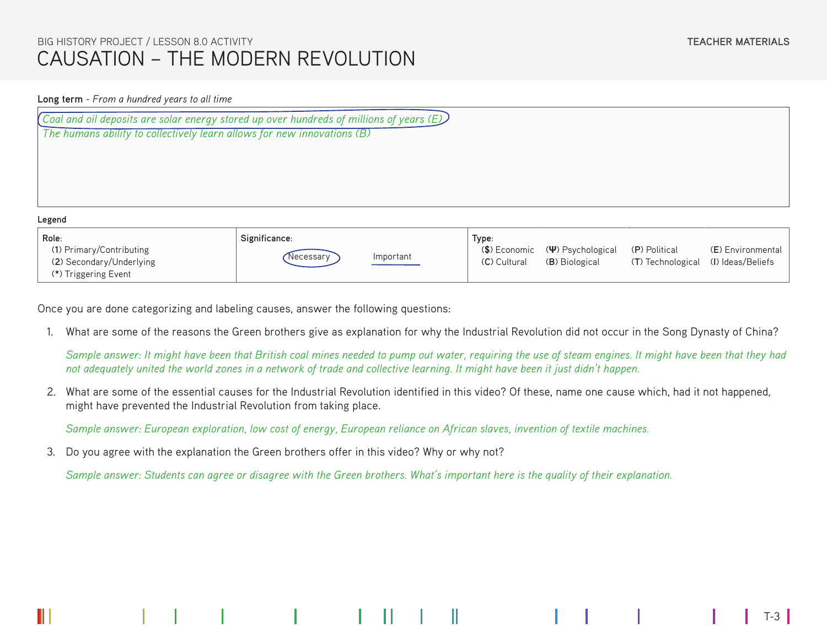#### **Long term** - *From a hundred years to all time*

| (Coal and oil deposits are solar energy stored up over hundreds of millions of years $(E)$ ) |  |  |  |  |  |  |
|----------------------------------------------------------------------------------------------|--|--|--|--|--|--|
| The humans ability to collectively learn allows for new innovations (B)                      |  |  |  |  |  |  |
|                                                                                              |  |  |  |  |  |  |
|                                                                                              |  |  |  |  |  |  |
|                                                                                              |  |  |  |  |  |  |
|                                                                                              |  |  |  |  |  |  |
| Legend                                                                                       |  |  |  |  |  |  |

| LUSCIN                   |               |           |              |                                                              |                                     |                   |  |  |  |
|--------------------------|---------------|-----------|--------------|--------------------------------------------------------------|-------------------------------------|-------------------|--|--|--|
| Role:                    | Significance: |           | Type:        |                                                              |                                     |                   |  |  |  |
| (1) Primary/Contributing |               |           |              | $(\textsf{S})$ Economic $(\Psi)$ Psychological (P) Political |                                     | (E) Environmental |  |  |  |
| (2) Secondary/Underlying | Necessary     | Important | (C) Cultural | (B) Biological                                               | (T) Technological (I) Ideas/Beliefs |                   |  |  |  |
| (*) Triggering Event     |               |           |              |                                                              |                                     |                   |  |  |  |

Once you are done categorizing and labeling causes, answer the following questions:

1. What are some of the reasons the Green brothers give as explanation for why the Industrial Revolution did not occur in the Song Dynasty of China?

*Sample answer: It might have been that British coal mines needed to pump out water, requiring the use of steam engines. It might have been that they had not adequately united the world zones in a network of trade and collective learning. It might have been it just didn't happen.*

2. What are some of the essential causes for the Industrial Revolution identified in this video? Of these, name one cause which, had it not happened, might have prevented the Industrial Revolution from taking place.

*Sample answer: European exploration, low cost of energy, European reliance on African slaves, invention of textile machines.*

3. Do you agree with the explanation the Green brothers offer in this video? Why or why not?

*Sample answer: Students can agree or disagree with the Green brothers. What's important here is the quality of their explanation.* 

T-3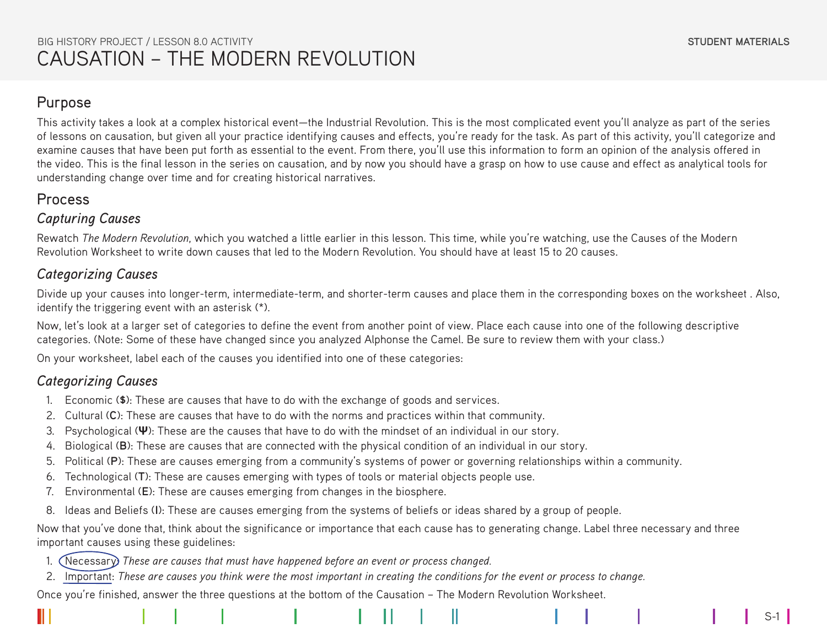S-1

## Purpose

This activity takes a look at a complex historical event—the Industrial Revolution. This is the most complicated event you'll analyze as part of the series of lessons on causation, but given all your practice identifying causes and effects, you're ready for the task. As part of this activity, you'll categorize and examine causes that have been put forth as essential to the event. From there, you'll use this information to form an opinion of the analysis offered in the video. This is the final lesson in the series on causation, and by now you should have a grasp on how to use cause and effect as analytical tools for understanding change over time and for creating historical narratives.

# Process

## *Capturing Causes*

Rewatch *The Modern Revolution*, which you watched a little earlier in this lesson. This time, while you're watching, use the Causes of the Modern Revolution Worksheet to write down causes that led to the Modern Revolution. You should have at least 15 to 20 causes.

# *Categorizing Causes*

Divide up your causes into longer-term, intermediate-term, and shorter-term causes and place them in the corresponding boxes on the worksheet . Also, identify the triggering event with an asterisk (\*).

Now, let's look at a larger set of categories to define the event from another point of view. Place each cause into one of the following descriptive categories. (Note: Some of these have changed since you analyzed Alphonse the Camel. Be sure to review them with your class.)

On your worksheet, label each of the causes you identified into one of these categories:

# *Categorizing Causes*

- 1. Economic (**\$**): These are causes that have to do with the exchange of goods and services.
- 2. Cultural (**C**): These are causes that have to do with the norms and practices within that community.
- 3. Psychological (**Ψ**): These are the causes that have to do with the mindset of an individual in our story.
- 4. Biological (**B**): These are causes that are connected with the physical condition of an individual in our story.
- 5. Political (**P**): These are causes emerging from a community's systems of power or governing relationships within a community.
- 6. Technological (**T**): These are causes emerging with types of tools or material objects people use.
- 7. Environmental (**E**): These are causes emerging from changes in the biosphere.
- 8. Ideas and Beliefs (**I**): These are causes emerging from the systems of beliefs or ideas shared by a group of people.

Now that you've done that, think about the significance or importance that each cause has to generating change. Label three necessary and three important causes using these guidelines:

- 1. Necessary: *These are causes that must have happened before an event or process changed.*
- 2. Important: *These are causes you think were the most important in creating the conditions for the event or process to change.*

Once you're finished, answer the three questions at the bottom of the Causation – The Modern Revolution Worksheet.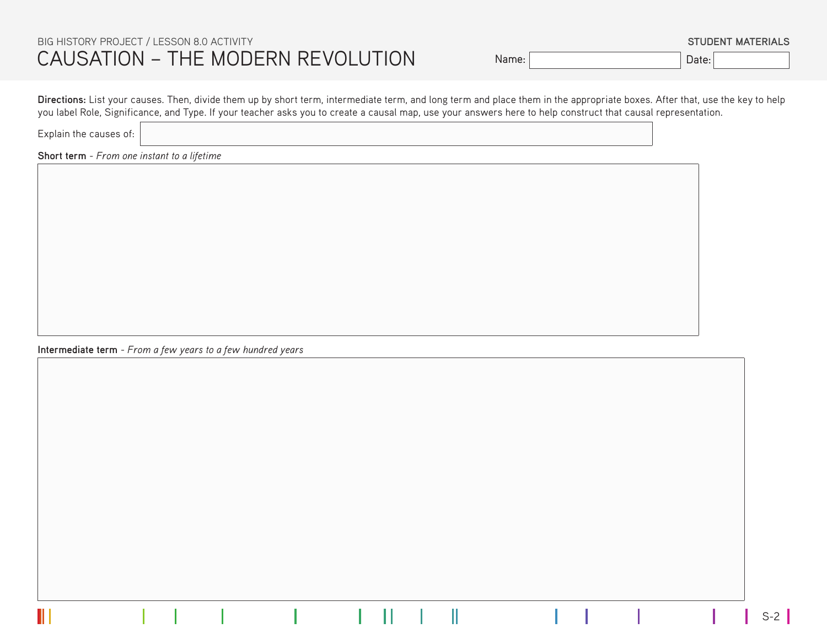Name: Date:

**STUDENT MATERIALS**

**Directions:** List your causes. Then, divide them up by short term, intermediate term, and long term and place them in the appropriate boxes. After that, use the key to help you label Role, Significance, and Type. If your teacher asks you to create a causal map, use your answers here to help construct that causal representation.

Explain the causes of:

**Short term** - *From one instant to a lifetime*

**Intermediate term** - *From a few years to a few hundred years*